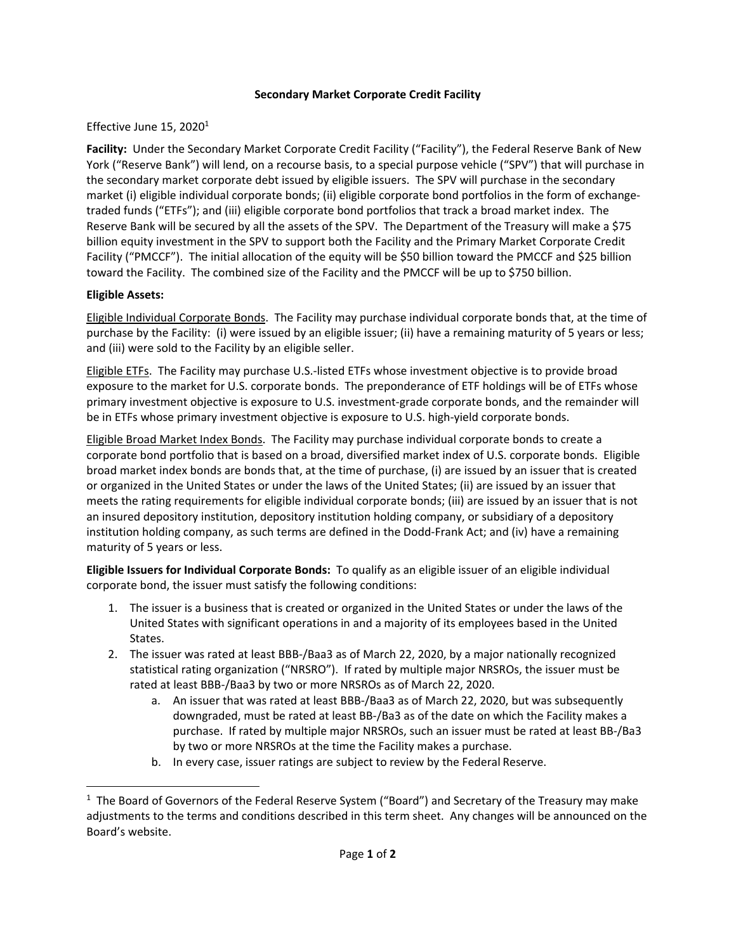## **Secondary Market Corporate Credit Facility**

## Effective June 15, 2020<sup>1</sup>

 **Facility:** Under the Secondary Market Corporate Credit Facility ("Facility"), the Federal Reserve Bank of New York ("Reserve Bank") will lend, on a recourse basis, to a special purpose vehicle ("SPV") that will purchase in the secondary market corporate debt issued by eligible issuers. The SPV will purchase in the secondary market (i) eligible individual corporate bonds; (ii) eligible corporate bond portfolios in the form of exchange- traded funds ("ETFs"); and (iii) eligible corporate bond portfolios that track a broad market index. The Reserve Bank will be secured by all the assets of the SPV. The Department of the Treasury will make a \$75 billion equity investment in the SPV to support both the Facility and the Primary Market Corporate Credit Facility ("PMCCF"). The initial allocation of the equity will be \$50 billion toward the PMCCF and \$25 billion toward the Facility. The combined size of the Facility and the PMCCF will be up to \$750 billion.

## **Eligible Assets:**

 $\overline{a}$ 

Eligible Individual Corporate Bonds. The Facility may purchase individual corporate bonds that, at the time of purchase by the Facility: (i) were issued by an eligible issuer; (ii) have a remaining maturity of 5 years or less; and (iii) were sold to the Facility by an eligible seller.

Eligible ETFs. The Facility may purchase U.S.-listed ETFs whose investment objective is to provide broad exposure to the market for U.S. corporate bonds. The preponderance of ETF holdings will be of ETFs whose primary investment objective is exposure to U.S. investment-grade corporate bonds, and the remainder will be in ETFs whose primary investment objective is exposure to U.S. high-yield corporate bonds.

Eligible Broad Market Index Bonds. The Facility may purchase individual corporate bonds to create a corporate bond portfolio that is based on a broad, diversified market index of U.S. corporate bonds. Eligible broad market index bonds are bonds that, at the time of purchase, (i) are issued by an issuer that is created or organized in the United States or under the laws of the United States; (ii) are issued by an issuer that meets the rating requirements for eligible individual corporate bonds; (iii) are issued by an issuer that is not an insured depository institution, depository institution holding company, or subsidiary of a depository institution holding company, as such terms are defined in the Dodd-Frank Act; and (iv) have a remaining maturity of 5 years or less.

 **Eligible Issuers for Individual Corporate Bonds:** To qualify as an eligible issuer of an eligible individual corporate bond, the issuer must satisfy the following conditions:

- 1. The issuer is a business that is created or organized in the United States or under the laws of the United States with significant operations in and a majority of its employees based in the United States.
- 2. The issuer was rated at least BBB-/Baa3 as of March 22, 2020, by a major nationally recognized statistical rating organization ("NRSRO"). If rated by multiple major NRSROs, the issuer must be rated at least BBB-/Baa3 by two or more NRSROs as of March 22, 2020.
	- a. An issuer that was rated at least BBB-/Baa3 as of March 22, 2020, but was subsequently downgraded, must be rated at least BB-/Ba3 as of the date on which the Facility makes a purchase. If rated by multiple major NRSROs, such an issuer must be rated at least BB-/Ba3 by two or more NRSROs at the time the Facility makes a purchase.
	- b. In every case, issuer ratings are subject to review by the Federal Reserve.

 $1$  The Board of Governors of the Federal Reserve System ("Board") and Secretary of the Treasury may make adjustments to the terms and conditions described in this term sheet. Any changes will be announced on the Board's website.